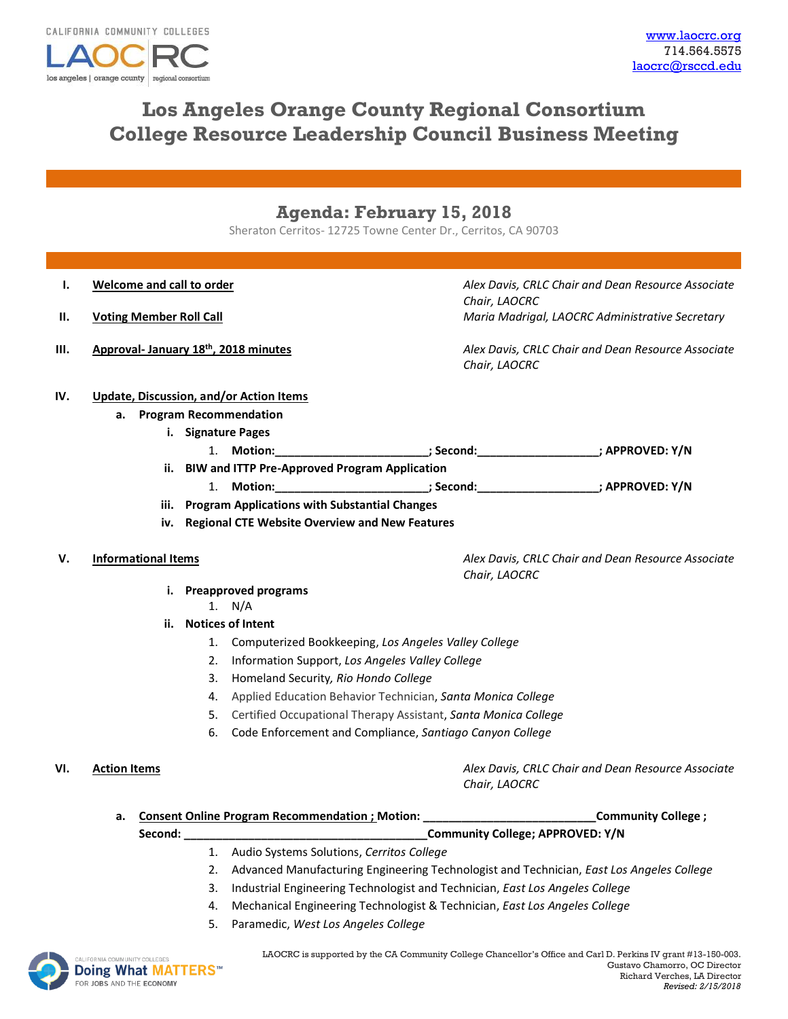los angeles | orange county | regional consortiun

# **Los Angeles Orange County Regional Consortium College Resource Leadership Council Business Meeting**

## **Agenda: February 15, 2018**

Sheraton Cerritos- 12725 Towne Center Dr., Cerritos, CA 90703

- **I. Welcome and call to order** *Alex Davis, CRLC Chair and Dean Resource Associate Chair, LAOCRC* **II. Voting Member Roll Call** *Maria Madrigal, LAOCRC Administrative Secretary* **III. Approval- January 18th, 2018 minutes** *Alex Davis, CRLC Chair and Dean Resource Associate Chair, LAOCRC* **IV. Update, Discussion, and/or Action Items a. Program Recommendation i. Signature Pages** 1. **Motion:\_\_\_\_\_\_\_\_\_\_\_\_\_\_\_\_\_\_\_\_\_\_\_\_; Second:\_\_\_\_\_\_\_\_\_\_\_\_\_\_\_\_\_\_\_; APPROVED: Y/N ii. BIW and ITTP Pre-Approved Program Application** 1. **Motion:\_\_\_\_\_\_\_\_\_\_\_\_\_\_\_\_\_\_\_\_\_\_\_\_; Second:\_\_\_\_\_\_\_\_\_\_\_\_\_\_\_\_\_\_\_; APPROVED: Y/N iii. Program Applications with Substantial Changes iv. Regional CTE Website Overview and New Features V. Informational Items** *Alex Davis, CRLC Chair and Dean Resource Associate Chair, LAOCRC* **i. Preapproved programs** 1. N/A **ii. Notices of Intent** 1. Computerized Bookkeeping, *Los Angeles Valley College* 2. Information Support, *Los Angeles Valley College* 3. Homeland Security*, Rio Hondo College* 4. Applied Education Behavior Technician, *Santa Monica College* 5. Certified Occupational Therapy Assistant, *Santa Monica College* 6. Code Enforcement and Compliance, *Santiago Canyon College*  **VI. Action Items** *Alex Davis, CRLC Chair and Dean Resource Associate Chair, LAOCRC* **a. Consent Online Program Recommendation ; Motion: \_\_\_\_\_\_\_\_\_\_\_\_\_\_\_\_\_\_\_\_\_\_\_\_\_\_\_Community College ; Second: \_\_\_\_\_\_\_\_\_\_\_\_\_\_\_\_\_\_\_\_\_\_\_\_\_\_\_\_\_\_\_\_\_\_\_\_\_\_Community College; APPROVED: Y/N** 1. Audio Systems Solutions, *Cerritos College*
	- 2. Advanced Manufacturing Engineering Technologist and Technician, *East Los Angeles College*
	- 3. Industrial Engineering Technologist and Technician, *East Los Angeles College*
	- 4. Mechanical Engineering Technologist & Technician, *East Los Angeles College*
	- 5. Paramedic, *West Los Angeles College*